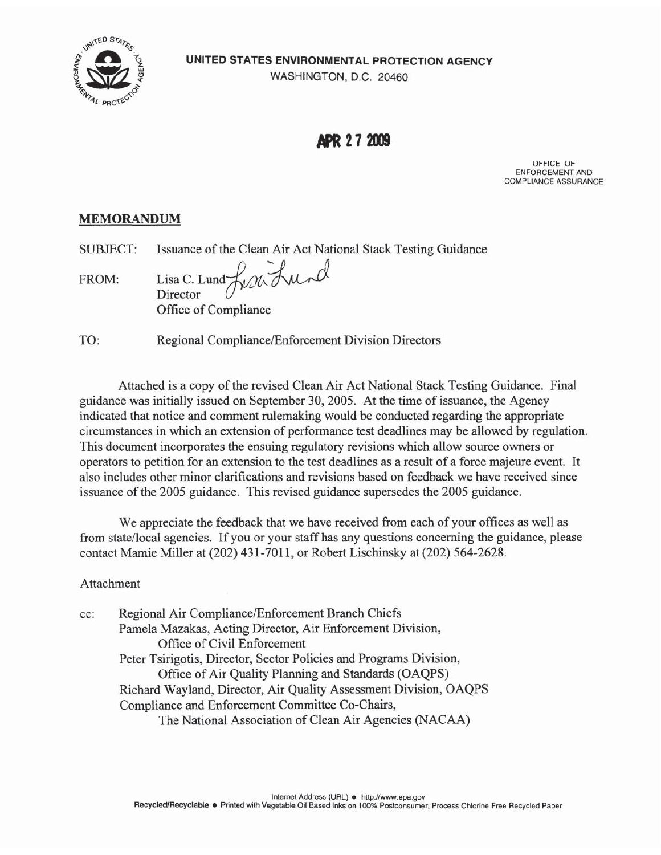UNITED STATES ENVIRONMENTAL PROTECTION AGENCY

UNITED STA

WASHINGTON, D.C. 20460

**APR 27 2009** 

OFFICE OF ENFORCEMENT AND COMPLIANCE ASSURANCE

# **MEMORANDUM**

Issuance of the Clean Air Act National Stack Testing Guidance SUBJECT:

Lisa C. Lund Front Lund FROM: Director Office of Compliance

TO: Regional Compliance/Enforcement Division Directors

Attached is a copy of the revised Clean Air Act National Stack Testing Guidance. Final guidance was initially issued on September 30, 2005. At the time of issuance, the Agency indicated that notice and comment rulemaking would be conducted regarding the appropriate circumstances in which an extension of performance test deadlines may be allowed by regulation. This document incorporates the ensuing regulatory revisions which allow source owners or operators to petition for an extension to the test deadlines as a result of a force majeure event. It also includes other minor clarifications and revisions based on feedback we have received since issuance of the 2005 guidance. This revised guidance supersedes the 2005 guidance.

We appreciate the feedback that we have received from each of your offices as well as from state/local agencies. If you or your staff has any questions concerning the guidance, please contact Mamie Miller at (202) 431-7011, or Robert Lischinsky at (202) 564-2628.

# Attachment

Regional Air Compliance/Enforcement Branch Chiefs cc: Pamela Mazakas, Acting Director, Air Enforcement Division, Office of Civil Enforcement Peter Tsirigotis, Director, Sector Policies and Programs Division, Office of Air Quality Planning and Standards (OAQPS) Richard Wayland, Director, Air Quality Assessment Division, OAQPS Compliance and Enforcement Committee Co-Chairs, The National Association of Clean Air Agencies (NACAA)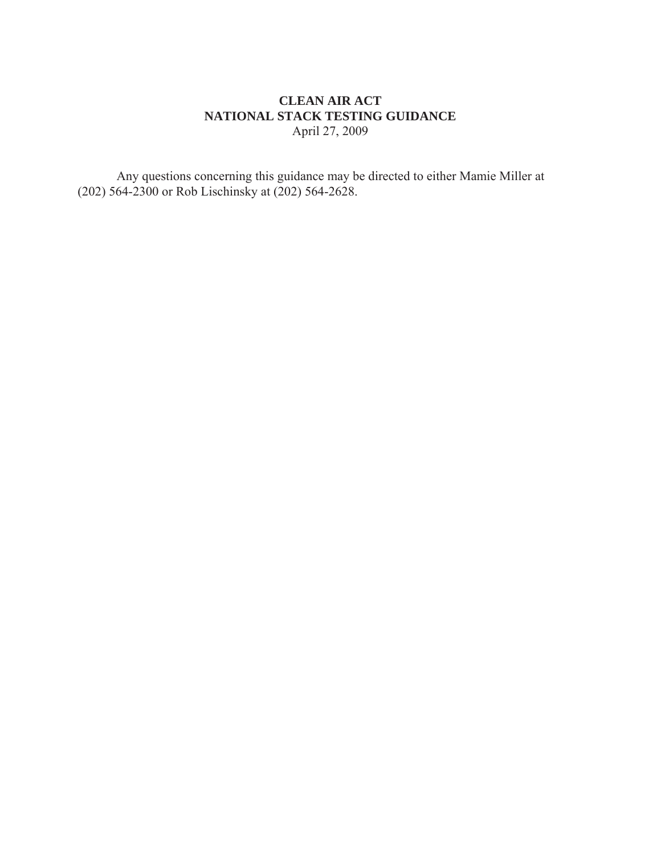## **CLEAN AIR ACT NATIONAL STACK TESTING GUIDANCE**  April 27, 2009

Any questions concerning this guidance may be directed to either Mamie Miller at (202) 564-2300 or Rob Lischinsky at (202) 564-2628.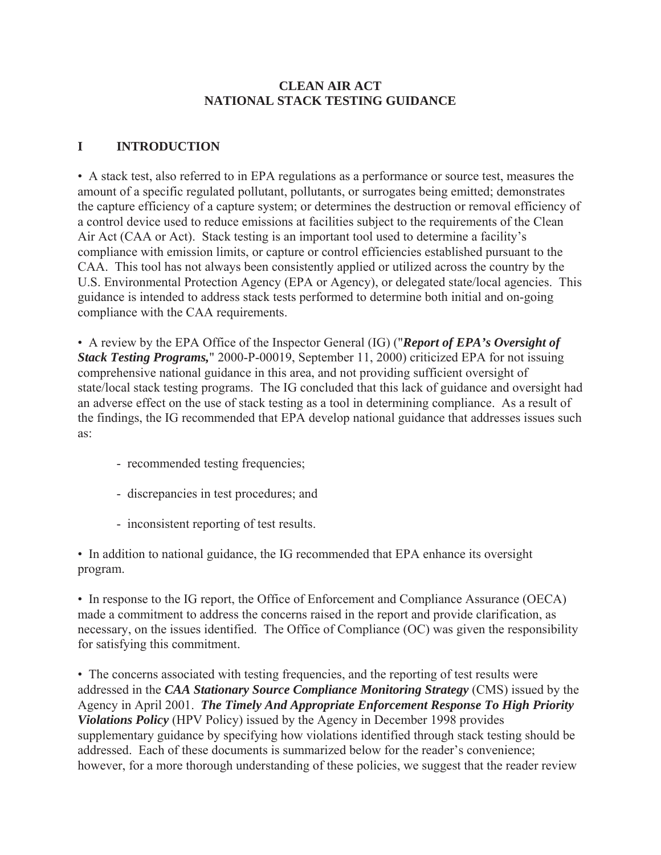# **CLEAN AIR ACT NATIONAL STACK TESTING GUIDANCE**

#### **I INTRODUCTION**

• A stack test, also referred to in EPA regulations as a performance or source test, measures the amount of a specific regulated pollutant, pollutants, or surrogates being emitted; demonstrates the capture efficiency of a capture system; or determines the destruction or removal efficiency of a control device used to reduce emissions at facilities subject to the requirements of the Clean Air Act (CAA or Act). Stack testing is an important tool used to determine a facility's compliance with emission limits, or capture or control efficiencies established pursuant to the CAA. This tool has not always been consistently applied or utilized across the country by the U.S. Environmental Protection Agency (EPA or Agency), or delegated state/local agencies. This guidance is intended to address stack tests performed to determine both initial and on-going compliance with the CAA requirements.

• A review by the EPA Office of the Inspector General (IG) ("*Report of EPA's Oversight of Stack Testing Programs,*" 2000-P-00019, September 11, 2000) criticized EPA for not issuing comprehensive national guidance in this area, and not providing sufficient oversight of state/local stack testing programs. The IG concluded that this lack of guidance and oversight had an adverse effect on the use of stack testing as a tool in determining compliance. As a result of the findings, the IG recommended that EPA develop national guidance that addresses issues such as:

- recommended testing frequencies;
- discrepancies in test procedures; and
- inconsistent reporting of test results.

• In addition to national guidance, the IG recommended that EPA enhance its oversight program.

• In response to the IG report, the Office of Enforcement and Compliance Assurance (OECA) made a commitment to address the concerns raised in the report and provide clarification, as necessary, on the issues identified. The Office of Compliance (OC) was given the responsibility for satisfying this commitment.

• The concerns associated with testing frequencies, and the reporting of test results were addressed in the *CAA Stationary Source Compliance Monitoring Strategy* (CMS) issued by the Agency in April 2001. *The Timely And Appropriate Enforcement Response To High Priority Violations Policy* (HPV Policy) issued by the Agency in December 1998 provides supplementary guidance by specifying how violations identified through stack testing should be addressed. Each of these documents is summarized below for the reader's convenience; however, for a more thorough understanding of these policies, we suggest that the reader review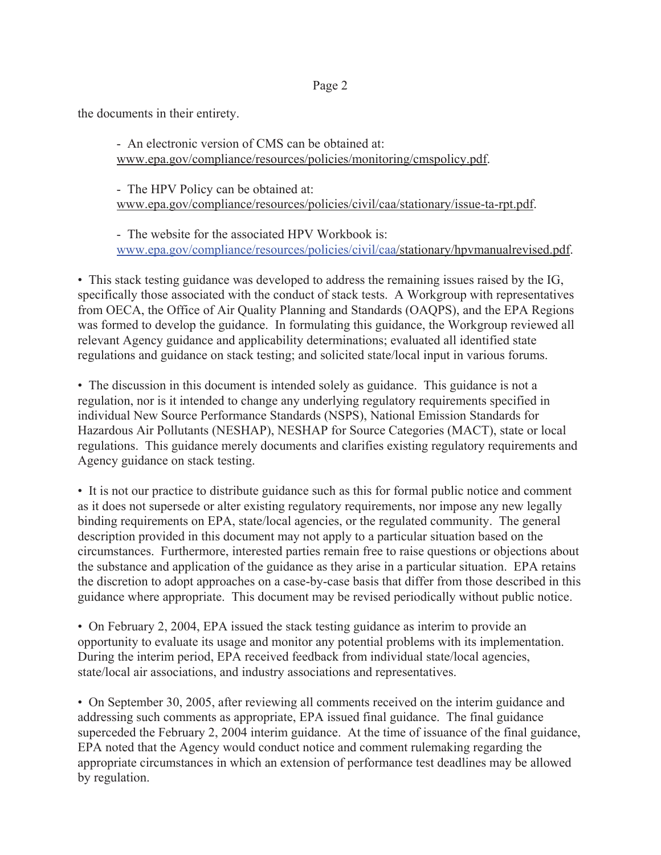the documents in their entirety.

- An electronic version of CMS can be obtained at: www.epa.gov/compliance/resources/policies/monitoring/cmspolicy.pdf.

- The HPV Policy can be obtained at: www.epa.gov/compliance/resources/policies/civil/caa/stationary/issue-ta-rpt.pdf.

- The website for the associated HPV Workbook is: www.epa.gov/compliance/resources/policies/civil/caa/stationary/hpvmanualrevised.pdf.

• This stack testing guidance was developed to address the remaining issues raised by the IG, specifically those associated with the conduct of stack tests. A Workgroup with representatives from OECA, the Office of Air Quality Planning and Standards (OAQPS), and the EPA Regions was formed to develop the guidance. In formulating this guidance, the Workgroup reviewed all relevant Agency guidance and applicability determinations; evaluated all identified state regulations and guidance on stack testing; and solicited state/local input in various forums.

• The discussion in this document is intended solely as guidance. This guidance is not a regulation, nor is it intended to change any underlying regulatory requirements specified in individual New Source Performance Standards (NSPS), National Emission Standards for Hazardous Air Pollutants (NESHAP), NESHAP for Source Categories (MACT), state or local regulations. This guidance merely documents and clarifies existing regulatory requirements and Agency guidance on stack testing.

• It is not our practice to distribute guidance such as this for formal public notice and comment as it does not supersede or alter existing regulatory requirements, nor impose any new legally binding requirements on EPA, state/local agencies, or the regulated community. The general description provided in this document may not apply to a particular situation based on the circumstances. Furthermore, interested parties remain free to raise questions or objections about the substance and application of the guidance as they arise in a particular situation. EPA retains the discretion to adopt approaches on a case-by-case basis that differ from those described in this guidance where appropriate. This document may be revised periodically without public notice.

• On February 2, 2004, EPA issued the stack testing guidance as interim to provide an opportunity to evaluate its usage and monitor any potential problems with its implementation. During the interim period, EPA received feedback from individual state/local agencies, state/local air associations, and industry associations and representatives.

• On September 30, 2005, after reviewing all comments received on the interim guidance and addressing such comments as appropriate, EPA issued final guidance. The final guidance superceded the February 2, 2004 interim guidance. At the time of issuance of the final guidance, EPA noted that the Agency would conduct notice and comment rulemaking regarding the appropriate circumstances in which an extension of performance test deadlines may be allowed by regulation.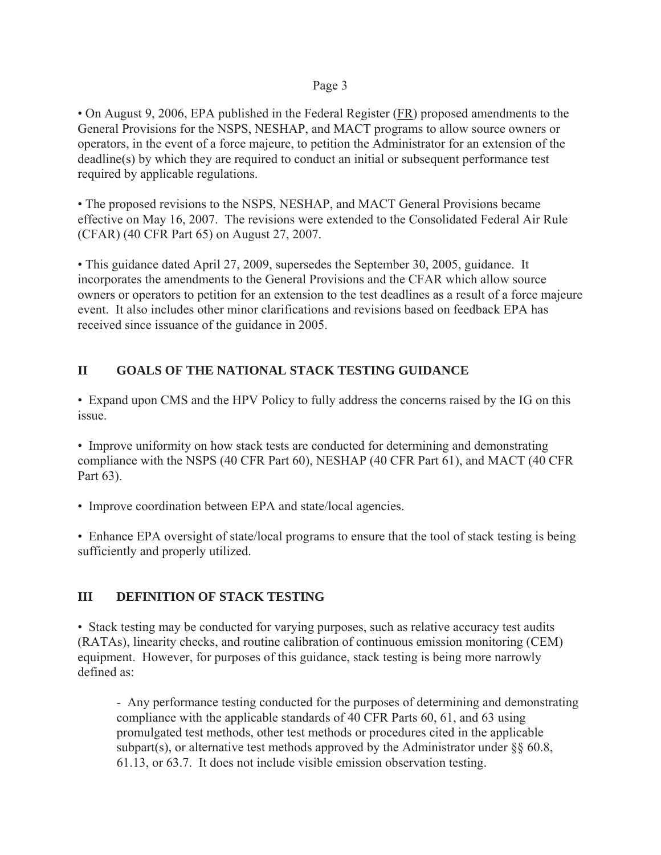• On August 9, 2006, EPA published in the Federal Register (FR) proposed amendments to the General Provisions for the NSPS, NESHAP, and MACT programs to allow source owners or operators, in the event of a force majeure, to petition the Administrator for an extension of the deadline(s) by which they are required to conduct an initial or subsequent performance test required by applicable regulations.

• The proposed revisions to the NSPS, NESHAP, and MACT General Provisions became effective on May 16, 2007. The revisions were extended to the Consolidated Federal Air Rule (CFAR) (40 CFR Part 65) on August 27, 2007.

• This guidance dated April 27, 2009, supersedes the September 30, 2005, guidance. It incorporates the amendments to the General Provisions and the CFAR which allow source owners or operators to petition for an extension to the test deadlines as a result of a force majeure event. It also includes other minor clarifications and revisions based on feedback EPA has received since issuance of the guidance in 2005.

# **II GOALS OF THE NATIONAL STACK TESTING GUIDANCE**

• Expand upon CMS and the HPV Policy to fully address the concerns raised by the IG on this issue.

• Improve uniformity on how stack tests are conducted for determining and demonstrating compliance with the NSPS (40 CFR Part 60), NESHAP (40 CFR Part 61), and MACT (40 CFR Part 63).

• Improve coordination between EPA and state/local agencies.

• Enhance EPA oversight of state/local programs to ensure that the tool of stack testing is being sufficiently and properly utilized.

# **III DEFINITION OF STACK TESTING**

• Stack testing may be conducted for varying purposes, such as relative accuracy test audits (RATAs), linearity checks, and routine calibration of continuous emission monitoring (CEM) equipment. However, for purposes of this guidance, stack testing is being more narrowly defined as:

- Any performance testing conducted for the purposes of determining and demonstrating compliance with the applicable standards of 40 CFR Parts 60, 61, and 63 using promulgated test methods, other test methods or procedures cited in the applicable subpart(s), or alternative test methods approved by the Administrator under  $\S\S 60.8$ , 61.13, or 63.7. It does not include visible emission observation testing.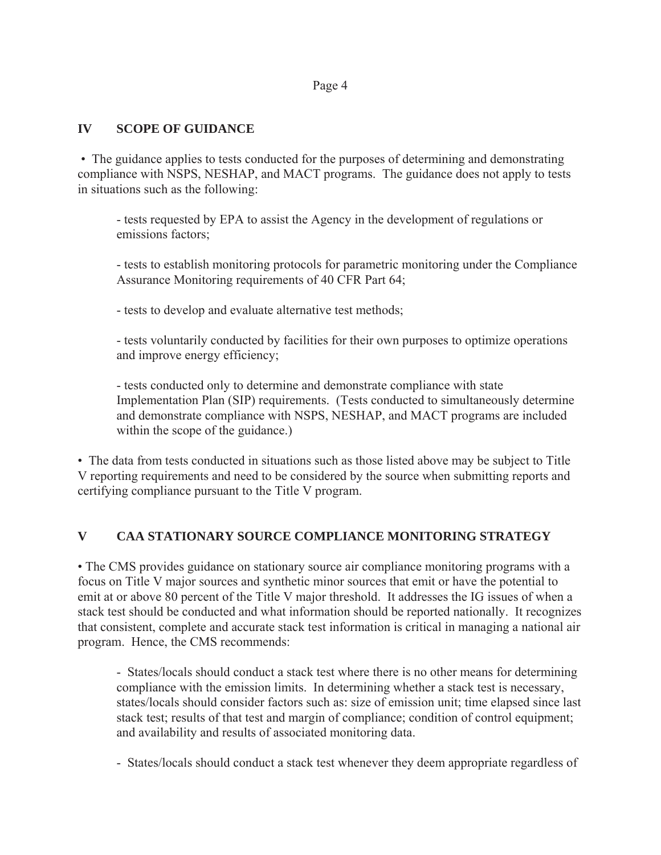## **IV SCOPE OF GUIDANCE**

 • The guidance applies to tests conducted for the purposes of determining and demonstrating compliance with NSPS, NESHAP, and MACT programs. The guidance does not apply to tests in situations such as the following:

- tests requested by EPA to assist the Agency in the development of regulations or emissions factors;

- tests to establish monitoring protocols for parametric monitoring under the Compliance Assurance Monitoring requirements of 40 CFR Part 64;

- tests to develop and evaluate alternative test methods;

- tests voluntarily conducted by facilities for their own purposes to optimize operations and improve energy efficiency;

- tests conducted only to determine and demonstrate compliance with state Implementation Plan (SIP) requirements. (Tests conducted to simultaneously determine and demonstrate compliance with NSPS, NESHAP, and MACT programs are included within the scope of the guidance.)

• The data from tests conducted in situations such as those listed above may be subject to Title V reporting requirements and need to be considered by the source when submitting reports and certifying compliance pursuant to the Title V program.

#### **V CAA STATIONARY SOURCE COMPLIANCE MONITORING STRATEGY**

• The CMS provides guidance on stationary source air compliance monitoring programs with a focus on Title V major sources and synthetic minor sources that emit or have the potential to emit at or above 80 percent of the Title V major threshold. It addresses the IG issues of when a stack test should be conducted and what information should be reported nationally. It recognizes that consistent, complete and accurate stack test information is critical in managing a national air program. Hence, the CMS recommends:

- States/locals should conduct a stack test where there is no other means for determining compliance with the emission limits. In determining whether a stack test is necessary, states/locals should consider factors such as: size of emission unit; time elapsed since last stack test; results of that test and margin of compliance; condition of control equipment; and availability and results of associated monitoring data.

- States/locals should conduct a stack test whenever they deem appropriate regardless of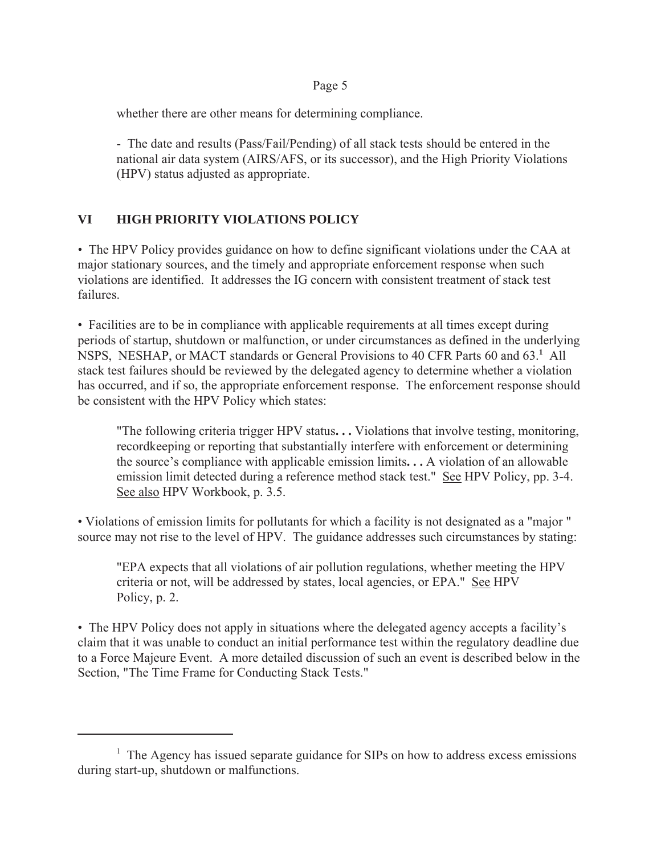whether there are other means for determining compliance.

- The date and results (Pass/Fail/Pending) of all stack tests should be entered in the national air data system (AIRS/AFS, or its successor), and the High Priority Violations (HPV) status adjusted as appropriate.

# **VI HIGH PRIORITY VIOLATIONS POLICY**

• The HPV Policy provides guidance on how to define significant violations under the CAA at major stationary sources, and the timely and appropriate enforcement response when such violations are identified. It addresses the IG concern with consistent treatment of stack test failures.

• Facilities are to be in compliance with applicable requirements at all times except during periods of startup, shutdown or malfunction, or under circumstances as defined in the underlying NSPS, NESHAP, or MACT standards or General Provisions to 40 CFR Parts 60 and 63.**<sup>1</sup>** All stack test failures should be reviewed by the delegated agency to determine whether a violation has occurred, and if so, the appropriate enforcement response. The enforcement response should be consistent with the HPV Policy which states:

"The following criteria trigger HPV status**. . .** Violations that involve testing, monitoring, recordkeeping or reporting that substantially interfere with enforcement or determining the source's compliance with applicable emission limits**. . .** A violation of an allowable emission limit detected during a reference method stack test." See HPV Policy, pp. 3-4. See also HPV Workbook, p. 3.5.

• Violations of emission limits for pollutants for which a facility is not designated as a "major " source may not rise to the level of HPV. The guidance addresses such circumstances by stating:

"EPA expects that all violations of air pollution regulations, whether meeting the HPV criteria or not, will be addressed by states, local agencies, or EPA." See HPV Policy, p. 2.

• The HPV Policy does not apply in situations where the delegated agency accepts a facility's claim that it was unable to conduct an initial performance test within the regulatory deadline due to a Force Majeure Event. A more detailed discussion of such an event is described below in the Section, "The Time Frame for Conducting Stack Tests."

<sup>&</sup>lt;sup>1</sup> The Agency has issued separate guidance for SIPs on how to address excess emissions during start-up, shutdown or malfunctions.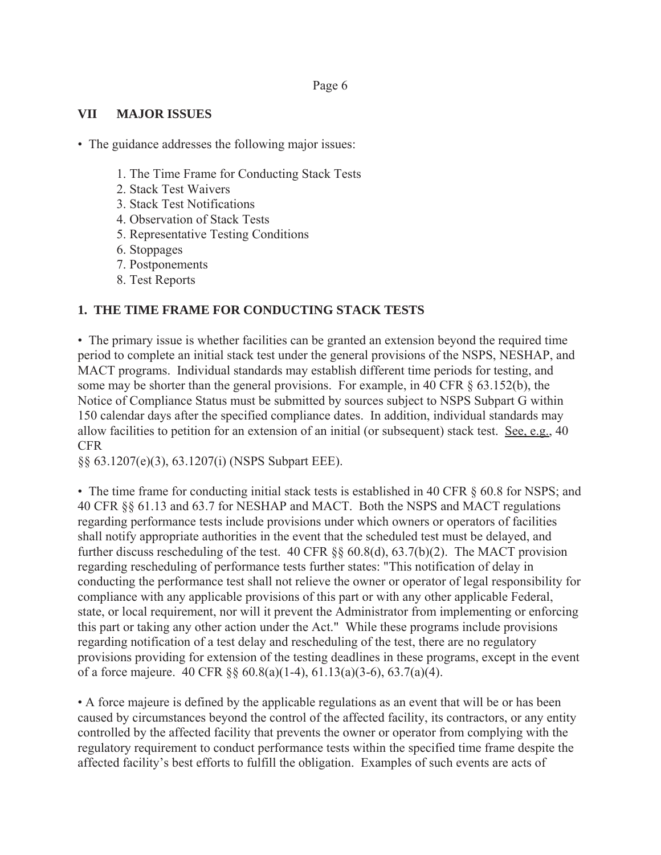## **VII MAJOR ISSUES**

• The guidance addresses the following major issues:

- 1. The Time Frame for Conducting Stack Tests
- 2. Stack Test Waivers
- 3. Stack Test Notifications
- 4. Observation of Stack Tests
- 5. Representative Testing Conditions
- 6. Stoppages
- 7. Postponements
- 8. Test Reports

# **1. THE TIME FRAME FOR CONDUCTING STACK TESTS**

• The primary issue is whether facilities can be granted an extension beyond the required time period to complete an initial stack test under the general provisions of the NSPS, NESHAP, and MACT programs. Individual standards may establish different time periods for testing, and some may be shorter than the general provisions. For example, in 40 CFR § 63.152(b), the Notice of Compliance Status must be submitted by sources subject to NSPS Subpart G within 150 calendar days after the specified compliance dates. In addition, individual standards may allow facilities to petition for an extension of an initial (or subsequent) stack test. See, e.g., 40 CFR

§§ 63.1207(e)(3), 63.1207(i) (NSPS Subpart EEE).

• The time frame for conducting initial stack tests is established in 40 CFR  $\S$  60.8 for NSPS; and 40 CFR §§ 61.13 and 63.7 for NESHAP and MACT. Both the NSPS and MACT regulations regarding performance tests include provisions under which owners or operators of facilities shall notify appropriate authorities in the event that the scheduled test must be delayed, and further discuss rescheduling of the test. 40 CFR §§ 60.8(d), 63.7(b)(2). The MACT provision regarding rescheduling of performance tests further states: "This notification of delay in conducting the performance test shall not relieve the owner or operator of legal responsibility for compliance with any applicable provisions of this part or with any other applicable Federal, state, or local requirement, nor will it prevent the Administrator from implementing or enforcing this part or taking any other action under the Act." While these programs include provisions regarding notification of a test delay and rescheduling of the test, there are no regulatory provisions providing for extension of the testing deadlines in these programs, except in the event of a force majeure. 40 CFR §§ 60.8(a)(1-4), 61.13(a)(3-6), 63.7(a)(4).

• A force majeure is defined by the applicable regulations as an event that will be or has been caused by circumstances beyond the control of the affected facility, its contractors, or any entity controlled by the affected facility that prevents the owner or operator from complying with the regulatory requirement to conduct performance tests within the specified time frame despite the affected facility's best efforts to fulfill the obligation. Examples of such events are acts of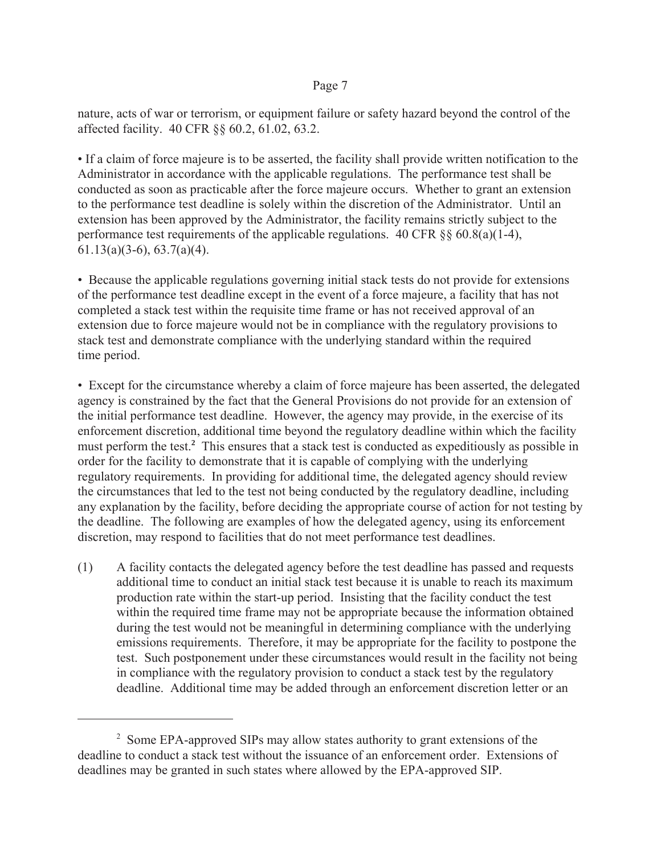nature, acts of war or terrorism, or equipment failure or safety hazard beyond the control of the affected facility. 40 CFR §§ 60.2, 61.02, 63.2.

• If a claim of force majeure is to be asserted, the facility shall provide written notification to the Administrator in accordance with the applicable regulations. The performance test shall be conducted as soon as practicable after the force majeure occurs. Whether to grant an extension to the performance test deadline is solely within the discretion of the Administrator. Until an extension has been approved by the Administrator, the facility remains strictly subject to the performance test requirements of the applicable regulations. 40 CFR §§ 60.8(a)(1-4), 61.13(a)(3-6), 63.7(a)(4).

• Because the applicable regulations governing initial stack tests do not provide for extensions of the performance test deadline except in the event of a force majeure, a facility that has not completed a stack test within the requisite time frame or has not received approval of an extension due to force majeure would not be in compliance with the regulatory provisions to stack test and demonstrate compliance with the underlying standard within the required time period.

• Except for the circumstance whereby a claim of force majeure has been asserted, the delegated agency is constrained by the fact that the General Provisions do not provide for an extension of the initial performance test deadline. However, the agency may provide, in the exercise of its enforcement discretion, additional time beyond the regulatory deadline within which the facility must perform the test.**<sup>2</sup>** This ensures that a stack test is conducted as expeditiously as possible in order for the facility to demonstrate that it is capable of complying with the underlying regulatory requirements. In providing for additional time, the delegated agency should review the circumstances that led to the test not being conducted by the regulatory deadline, including any explanation by the facility, before deciding the appropriate course of action for not testing by the deadline. The following are examples of how the delegated agency, using its enforcement discretion, may respond to facilities that do not meet performance test deadlines.

(1) A facility contacts the delegated agency before the test deadline has passed and requests additional time to conduct an initial stack test because it is unable to reach its maximum production rate within the start-up period. Insisting that the facility conduct the test within the required time frame may not be appropriate because the information obtained during the test would not be meaningful in determining compliance with the underlying emissions requirements. Therefore, it may be appropriate for the facility to postpone the test. Such postponement under these circumstances would result in the facility not being in compliance with the regulatory provision to conduct a stack test by the regulatory deadline. Additional time may be added through an enforcement discretion letter or an

<sup>&</sup>lt;sup>2</sup> Some EPA-approved SIPs may allow states authority to grant extensions of the deadline to conduct a stack test without the issuance of an enforcement order. Extensions of deadlines may be granted in such states where allowed by the EPA-approved SIP.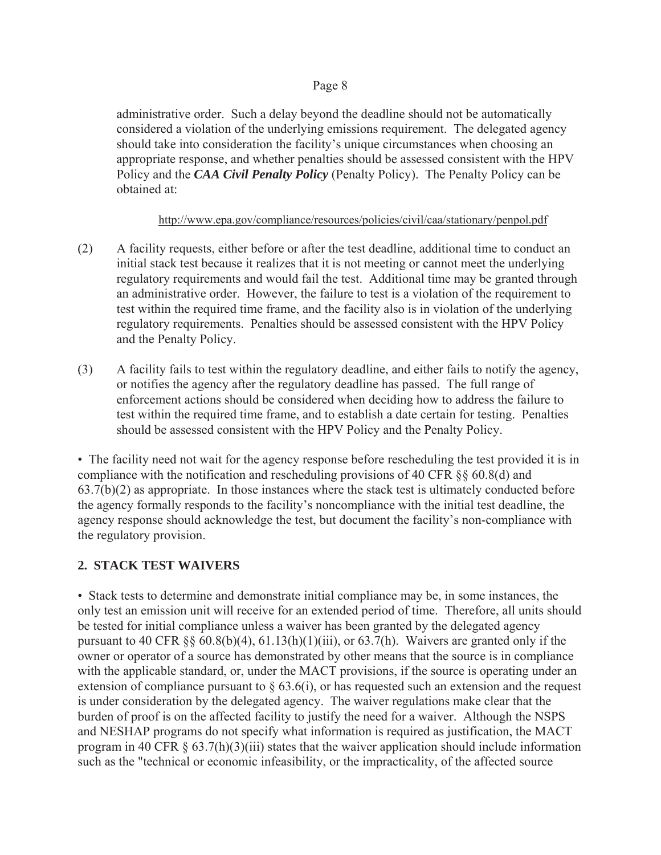administrative order. Such a delay beyond the deadline should not be automatically considered a violation of the underlying emissions requirement. The delegated agency should take into consideration the facility's unique circumstances when choosing an appropriate response, and whether penalties should be assessed consistent with the HPV Policy and the *CAA Civil Penalty Policy* (Penalty Policy). The Penalty Policy can be obtained at:

## http://www.epa.gov/compliance/resources/policies/civil/caa/stationary/penpol.pdf

- (2) A facility requests, either before or after the test deadline, additional time to conduct an initial stack test because it realizes that it is not meeting or cannot meet the underlying regulatory requirements and would fail the test. Additional time may be granted through an administrative order. However, the failure to test is a violation of the requirement to test within the required time frame, and the facility also is in violation of the underlying regulatory requirements. Penalties should be assessed consistent with the HPV Policy and the Penalty Policy.
- (3) A facility fails to test within the regulatory deadline, and either fails to notify the agency, or notifies the agency after the regulatory deadline has passed. The full range of enforcement actions should be considered when deciding how to address the failure to test within the required time frame, and to establish a date certain for testing. Penalties should be assessed consistent with the HPV Policy and the Penalty Policy.

• The facility need not wait for the agency response before rescheduling the test provided it is in compliance with the notification and rescheduling provisions of 40 CFR §§ 60.8(d) and 63.7(b)(2) as appropriate. In those instances where the stack test is ultimately conducted before the agency formally responds to the facility's noncompliance with the initial test deadline, the agency response should acknowledge the test, but document the facility's non-compliance with the regulatory provision.

# **2. STACK TEST WAIVERS**

• Stack tests to determine and demonstrate initial compliance may be, in some instances, the only test an emission unit will receive for an extended period of time. Therefore, all units should be tested for initial compliance unless a waiver has been granted by the delegated agency pursuant to 40 CFR  $\S$  60.8(b)(4), 61.13(h)(1)(iii), or 63.7(h). Waivers are granted only if the owner or operator of a source has demonstrated by other means that the source is in compliance with the applicable standard, or, under the MACT provisions, if the source is operating under an extension of compliance pursuant to  $\S$  63.6(i), or has requested such an extension and the request is under consideration by the delegated agency. The waiver regulations make clear that the burden of proof is on the affected facility to justify the need for a waiver. Although the NSPS and NESHAP programs do not specify what information is required as justification, the MACT program in 40 CFR § 63.7(h)(3)(iii) states that the waiver application should include information such as the "technical or economic infeasibility, or the impracticality, of the affected source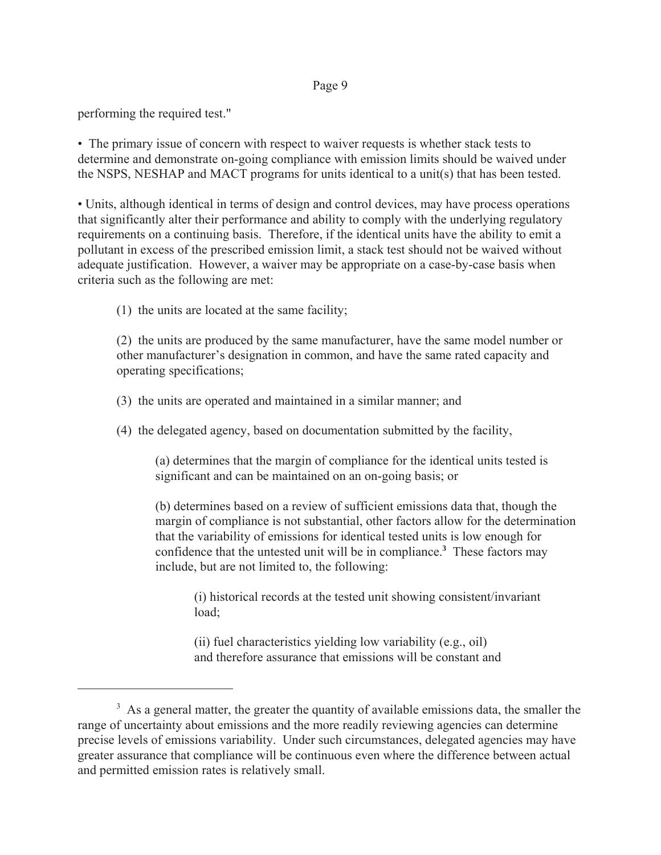performing the required test."

• The primary issue of concern with respect to waiver requests is whether stack tests to determine and demonstrate on-going compliance with emission limits should be waived under the NSPS, NESHAP and MACT programs for units identical to a unit(s) that has been tested.

• Units, although identical in terms of design and control devices, may have process operations that significantly alter their performance and ability to comply with the underlying regulatory requirements on a continuing basis. Therefore, if the identical units have the ability to emit a pollutant in excess of the prescribed emission limit, a stack test should not be waived without adequate justification. However, a waiver may be appropriate on a case-by-case basis when criteria such as the following are met:

(1) the units are located at the same facility;

(2) the units are produced by the same manufacturer, have the same model number or other manufacturer's designation in common, and have the same rated capacity and operating specifications;

(3) the units are operated and maintained in a similar manner; and

(4) the delegated agency, based on documentation submitted by the facility,

(a) determines that the margin of compliance for the identical units tested is significant and can be maintained on an on-going basis; or

(b) determines based on a review of sufficient emissions data that, though the margin of compliance is not substantial, other factors allow for the determination that the variability of emissions for identical tested units is low enough for confidence that the untested unit will be in compliance.**<sup>3</sup>** These factors may include, but are not limited to, the following:

(i) historical records at the tested unit showing consistent/invariant load;

(ii) fuel characteristics yielding low variability (e.g., oil) and therefore assurance that emissions will be constant and

 $3$  As a general matter, the greater the quantity of available emissions data, the smaller the range of uncertainty about emissions and the more readily reviewing agencies can determine precise levels of emissions variability. Under such circumstances, delegated agencies may have greater assurance that compliance will be continuous even where the difference between actual and permitted emission rates is relatively small.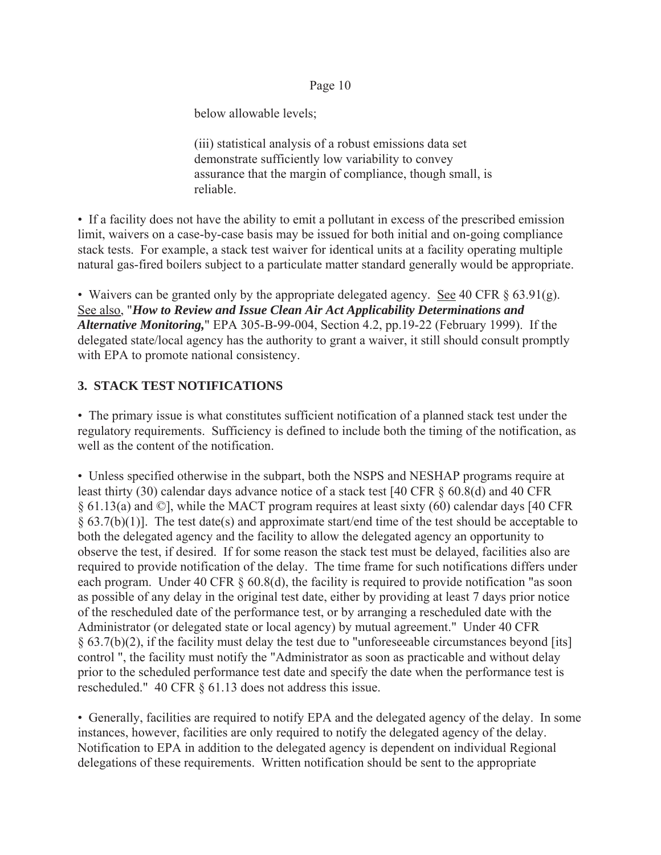below allowable levels;

(iii) statistical analysis of a robust emissions data set demonstrate sufficiently low variability to convey assurance that the margin of compliance, though small, is reliable.

• If a facility does not have the ability to emit a pollutant in excess of the prescribed emission limit, waivers on a case-by-case basis may be issued for both initial and on-going compliance stack tests. For example, a stack test waiver for identical units at a facility operating multiple natural gas-fired boilers subject to a particulate matter standard generally would be appropriate.

• Waivers can be granted only by the appropriate delegated agency. See 40 CFR  $\S$  63.91(g). See also, "*How to Review and Issue Clean Air Act Applicability Determinations and Alternative Monitoring,*" EPA 305-B-99-004, Section 4.2, pp.19-22 (February 1999). If the delegated state/local agency has the authority to grant a waiver, it still should consult promptly with EPA to promote national consistency.

# **3. STACK TEST NOTIFICATIONS**

• The primary issue is what constitutes sufficient notification of a planned stack test under the regulatory requirements. Sufficiency is defined to include both the timing of the notification, as well as the content of the notification.

• Unless specified otherwise in the subpart, both the NSPS and NESHAP programs require at least thirty (30) calendar days advance notice of a stack test [40 CFR § 60.8(d) and 40 CFR § 61.13(a) and ©], while the MACT program requires at least sixty (60) calendar days [40 CFR  $§ 63.7(b)(1)]$ . The test date(s) and approximate start/end time of the test should be acceptable to both the delegated agency and the facility to allow the delegated agency an opportunity to observe the test, if desired. If for some reason the stack test must be delayed, facilities also are required to provide notification of the delay. The time frame for such notifications differs under each program. Under 40 CFR § 60.8(d), the facility is required to provide notification "as soon as possible of any delay in the original test date, either by providing at least 7 days prior notice of the rescheduled date of the performance test, or by arranging a rescheduled date with the Administrator (or delegated state or local agency) by mutual agreement." Under 40 CFR § 63.7(b)(2), if the facility must delay the test due to "unforeseeable circumstances beyond [its] control ", the facility must notify the "Administrator as soon as practicable and without delay prior to the scheduled performance test date and specify the date when the performance test is rescheduled." 40 CFR § 61.13 does not address this issue.

• Generally, facilities are required to notify EPA and the delegated agency of the delay. In some instances, however, facilities are only required to notify the delegated agency of the delay. Notification to EPA in addition to the delegated agency is dependent on individual Regional delegations of these requirements. Written notification should be sent to the appropriate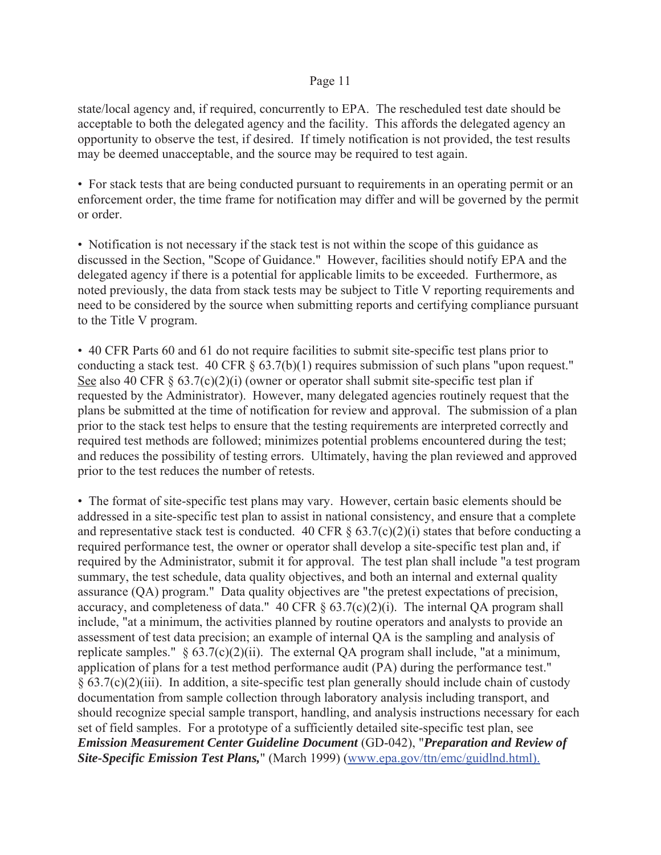state/local agency and, if required, concurrently to EPA. The rescheduled test date should be acceptable to both the delegated agency and the facility. This affords the delegated agency an opportunity to observe the test, if desired. If timely notification is not provided, the test results may be deemed unacceptable, and the source may be required to test again.

• For stack tests that are being conducted pursuant to requirements in an operating permit or an enforcement order, the time frame for notification may differ and will be governed by the permit or order.

• Notification is not necessary if the stack test is not within the scope of this guidance as discussed in the Section, "Scope of Guidance." However, facilities should notify EPA and the delegated agency if there is a potential for applicable limits to be exceeded. Furthermore, as noted previously, the data from stack tests may be subject to Title V reporting requirements and need to be considered by the source when submitting reports and certifying compliance pursuant to the Title V program.

• 40 CFR Parts 60 and 61 do not require facilities to submit site-specific test plans prior to conducting a stack test. 40 CFR  $\S$  63.7(b)(1) requires submission of such plans "upon request." See also 40 CFR  $\S 63.7(c)(2)(i)$  (owner or operator shall submit site-specific test plan if requested by the Administrator). However, many delegated agencies routinely request that the plans be submitted at the time of notification for review and approval. The submission of a plan prior to the stack test helps to ensure that the testing requirements are interpreted correctly and required test methods are followed; minimizes potential problems encountered during the test; and reduces the possibility of testing errors. Ultimately, having the plan reviewed and approved prior to the test reduces the number of retests.

• The format of site-specific test plans may vary. However, certain basic elements should be addressed in a site-specific test plan to assist in national consistency, and ensure that a complete and representative stack test is conducted. 40 CFR  $\S$  63.7(c)(2)(i) states that before conducting a required performance test, the owner or operator shall develop a site-specific test plan and, if required by the Administrator, submit it for approval. The test plan shall include "a test program summary, the test schedule, data quality objectives, and both an internal and external quality assurance (QA) program." Data quality objectives are "the pretest expectations of precision, accuracy, and completeness of data." 40 CFR  $\S$  63.7(c)(2)(i). The internal QA program shall include, "at a minimum, the activities planned by routine operators and analysts to provide an assessment of test data precision; an example of internal QA is the sampling and analysis of replicate samples."  $\S$  63.7(c)(2)(ii). The external QA program shall include, "at a minimum, application of plans for a test method performance audit (PA) during the performance test."  $§ 63.7(c)(2)(iii)$ . In addition, a site-specific test plan generally should include chain of custody documentation from sample collection through laboratory analysis including transport, and should recognize special sample transport, handling, and analysis instructions necessary for each set of field samples. For a prototype of a sufficiently detailed site-specific test plan, see *Emission Measurement Center Guideline Document* (GD-042), "*Preparation and Review of Site-Specific Emission Test Plans,*" (March 1999) (www.epa.gov/ttn/emc/guidlnd.html).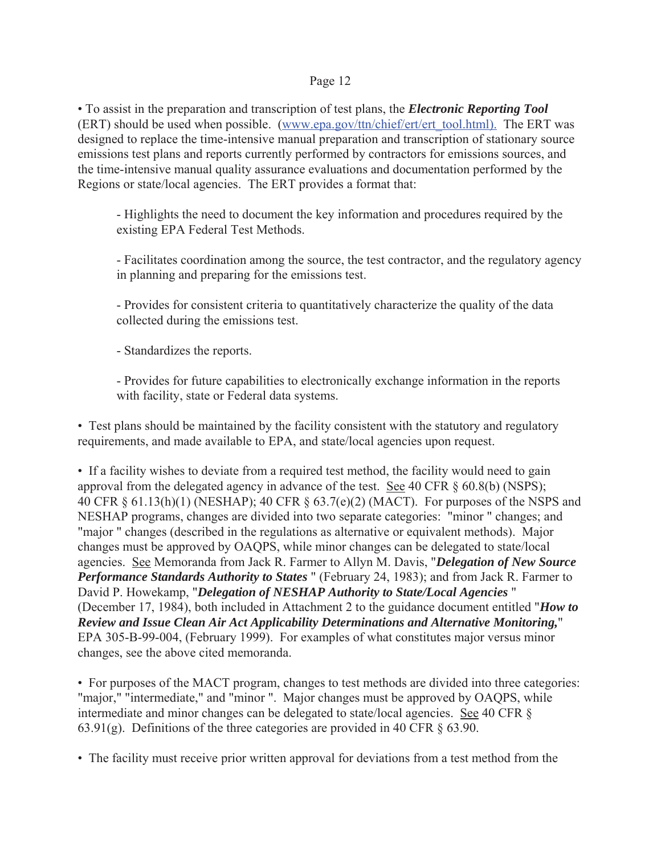• To assist in the preparation and transcription of test plans, the *Electronic Reporting Tool*  (ERT) should be used when possible. (www.epa.gov/ttn/chief/ert/ert\_tool.html). The ERT was designed to replace the time-intensive manual preparation and transcription of stationary source emissions test plans and reports currently performed by contractors for emissions sources, and the time-intensive manual quality assurance evaluations and documentation performed by the Regions or state/local agencies. The ERT provides a format that:

- Highlights the need to document the key information and procedures required by the existing EPA Federal Test Methods.

- Facilitates coordination among the source, the test contractor, and the regulatory agency in planning and preparing for the emissions test.

- Provides for consistent criteria to quantitatively characterize the quality of the data collected during the emissions test.

- Standardizes the reports.

- Provides for future capabilities to electronically exchange information in the reports with facility, state or Federal data systems.

• Test plans should be maintained by the facility consistent with the statutory and regulatory requirements, and made available to EPA, and state/local agencies upon request.

• If a facility wishes to deviate from a required test method, the facility would need to gain approval from the delegated agency in advance of the test. See 40 CFR § 60.8(b) (NSPS); 40 CFR § 61.13(h)(1) (NESHAP); 40 CFR § 63.7(e)(2) (MACT). For purposes of the NSPS and NESHAP programs, changes are divided into two separate categories: "minor " changes; and "major " changes (described in the regulations as alternative or equivalent methods). Major changes must be approved by OAQPS, while minor changes can be delegated to state/local agencies. See Memoranda from Jack R. Farmer to Allyn M. Davis, "*Delegation of New Source Performance Standards Authority to States* " (February 24, 1983); and from Jack R. Farmer to David P. Howekamp, "*Delegation of NESHAP Authority to State/Local Agencies* " (December 17, 1984), both included in Attachment 2 to the guidance document entitled "*How to Review and Issue Clean Air Act Applicability Determinations and Alternative Monitoring,*" EPA 305-B-99-004, (February 1999). For examples of what constitutes major versus minor changes, see the above cited memoranda.

• For purposes of the MACT program, changes to test methods are divided into three categories: "major," "intermediate," and "minor ". Major changes must be approved by OAQPS, while intermediate and minor changes can be delegated to state/local agencies. See 40 CFR § 63.91(g). Definitions of the three categories are provided in 40 CFR § 63.90.

• The facility must receive prior written approval for deviations from a test method from the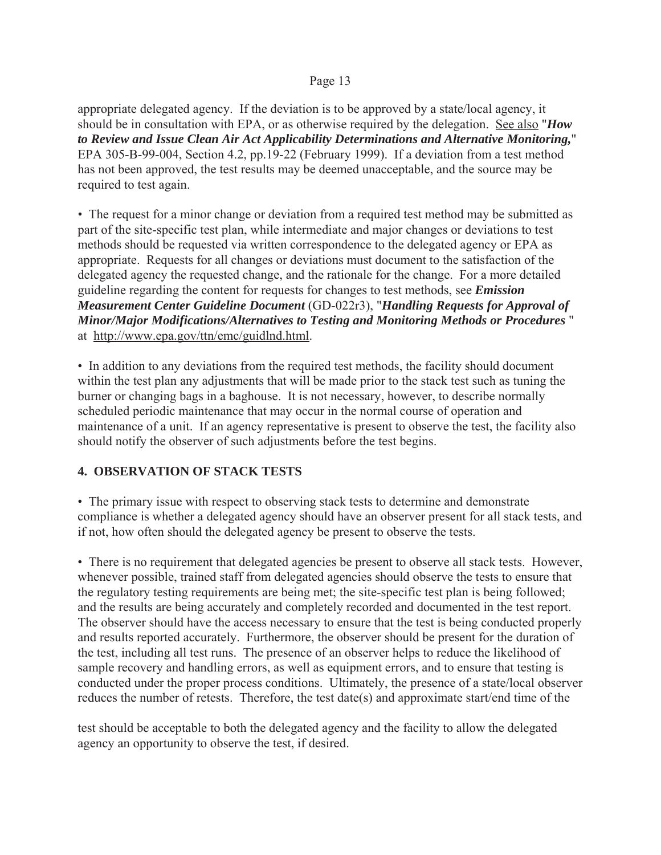appropriate delegated agency. If the deviation is to be approved by a state/local agency, it should be in consultation with EPA, or as otherwise required by the delegation. See also "*How to Review and Issue Clean Air Act Applicability Determinations and Alternative Monitoring,*" EPA 305-B-99-004, Section 4.2, pp.19-22 (February 1999). If a deviation from a test method has not been approved, the test results may be deemed unacceptable, and the source may be required to test again.

*•* The request for a minor change or deviation from a required test method may be submitted as part of the site-specific test plan, while intermediate and major changes or deviations to test methods should be requested via written correspondence to the delegated agency or EPA as appropriate. Requests for all changes or deviations must document to the satisfaction of the delegated agency the requested change, and the rationale for the change. For a more detailed guideline regarding the content for requests for changes to test methods, see *Emission Measurement Center Guideline Document* (GD-022r3), "*Handling Requests for Approval of Minor/Major Modifications/Alternatives to Testing and Monitoring Methods or Procedures* " at http://www.epa.gov/ttn/emc/guidlnd.html.

• In addition to any deviations from the required test methods, the facility should document within the test plan any adjustments that will be made prior to the stack test such as tuning the burner or changing bags in a baghouse. It is not necessary, however, to describe normally scheduled periodic maintenance that may occur in the normal course of operation and maintenance of a unit. If an agency representative is present to observe the test, the facility also should notify the observer of such adjustments before the test begins.

# **4. OBSERVATION OF STACK TESTS**

• The primary issue with respect to observing stack tests to determine and demonstrate compliance is whether a delegated agency should have an observer present for all stack tests, and if not, how often should the delegated agency be present to observe the tests.

• There is no requirement that delegated agencies be present to observe all stack tests. However, whenever possible, trained staff from delegated agencies should observe the tests to ensure that the regulatory testing requirements are being met; the site-specific test plan is being followed; and the results are being accurately and completely recorded and documented in the test report. The observer should have the access necessary to ensure that the test is being conducted properly and results reported accurately. Furthermore, the observer should be present for the duration of the test, including all test runs. The presence of an observer helps to reduce the likelihood of sample recovery and handling errors, as well as equipment errors, and to ensure that testing is conducted under the proper process conditions. Ultimately, the presence of a state/local observer reduces the number of retests. Therefore, the test date(s) and approximate start/end time of the

test should be acceptable to both the delegated agency and the facility to allow the delegated agency an opportunity to observe the test, if desired.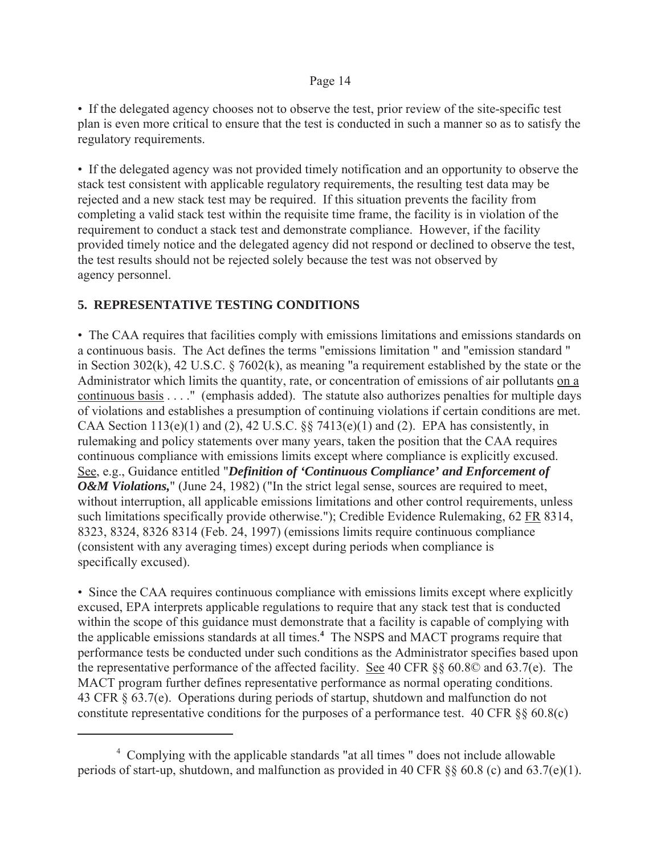• If the delegated agency chooses not to observe the test, prior review of the site-specific test plan is even more critical to ensure that the test is conducted in such a manner so as to satisfy the regulatory requirements.

• If the delegated agency was not provided timely notification and an opportunity to observe the stack test consistent with applicable regulatory requirements, the resulting test data may be rejected and a new stack test may be required. If this situation prevents the facility from completing a valid stack test within the requisite time frame, the facility is in violation of the requirement to conduct a stack test and demonstrate compliance. However, if the facility provided timely notice and the delegated agency did not respond or declined to observe the test, the test results should not be rejected solely because the test was not observed by agency personnel.

# **5. REPRESENTATIVE TESTING CONDITIONS**

• The CAA requires that facilities comply with emissions limitations and emissions standards on a continuous basis. The Act defines the terms "emissions limitation " and "emission standard " in Section 302(k), 42 U.S.C. § 7602(k), as meaning "a requirement established by the state or the Administrator which limits the quantity, rate, or concentration of emissions of air pollutants on a continuous basis . . . ." (emphasis added). The statute also authorizes penalties for multiple days of violations and establishes a presumption of continuing violations if certain conditions are met. CAA Section  $113(e)(1)$  and  $(2)$ ,  $42$  U.S.C.  $\S$  $\S$   $7413(e)(1)$  and  $(2)$ . EPA has consistently, in rulemaking and policy statements over many years, taken the position that the CAA requires continuous compliance with emissions limits except where compliance is explicitly excused. See, e.g., Guidance entitled "*Definition of 'Continuous Compliance' and Enforcement of O&M Violations*," (June 24, 1982) ("In the strict legal sense, sources are required to meet, without interruption, all applicable emissions limitations and other control requirements, unless such limitations specifically provide otherwise."); Credible Evidence Rulemaking, 62 FR 8314, 8323, 8324, 8326 8314 (Feb. 24, 1997) (emissions limits require continuous compliance (consistent with any averaging times) except during periods when compliance is specifically excused).

• Since the CAA requires continuous compliance with emissions limits except where explicitly excused, EPA interprets applicable regulations to require that any stack test that is conducted within the scope of this guidance must demonstrate that a facility is capable of complying with the applicable emissions standards at all times.**<sup>4</sup>** The NSPS and MACT programs require that performance tests be conducted under such conditions as the Administrator specifies based upon the representative performance of the affected facility. See 40 CFR §§ 60.8© and 63.7(e). The MACT program further defines representative performance as normal operating conditions. 43 CFR § 63.7(e). Operations during periods of startup, shutdown and malfunction do not constitute representative conditions for the purposes of a performance test. 40 CFR §§ 60.8(c)

<sup>4</sup> Complying with the applicable standards "at all times " does not include allowable periods of start-up, shutdown, and malfunction as provided in 40 CFR §§ 60.8 (c) and 63.7(e)(1).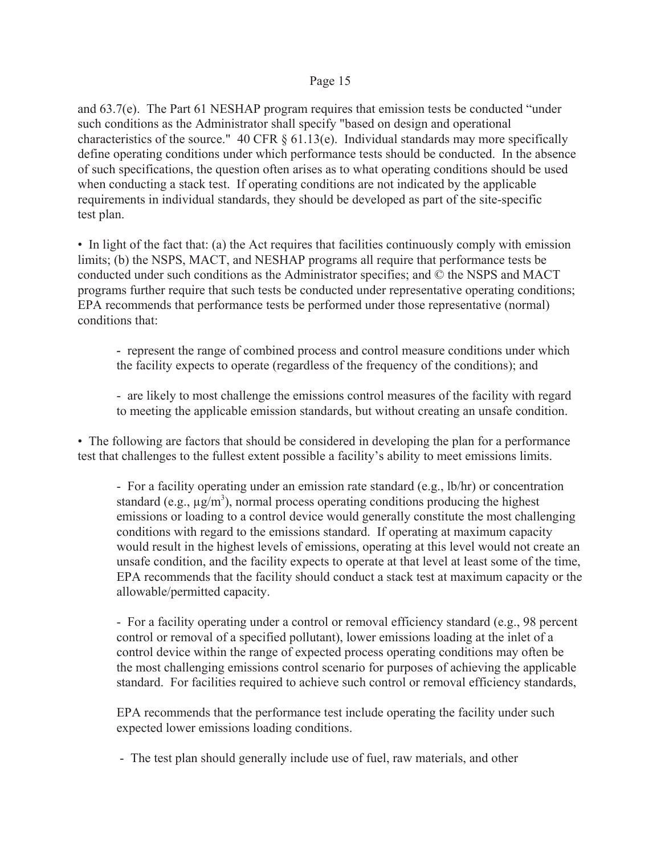and 63.7(e). The Part 61 NESHAP program requires that emission tests be conducted "under such conditions as the Administrator shall specify "based on design and operational characteristics of the source." 40 CFR  $\S$  61.13(e). Individual standards may more specifically define operating conditions under which performance tests should be conducted. In the absence of such specifications, the question often arises as to what operating conditions should be used when conducting a stack test. If operating conditions are not indicated by the applicable requirements in individual standards, they should be developed as part of the site-specific test plan.

• In light of the fact that: (a) the Act requires that facilities continuously comply with emission limits; (b) the NSPS, MACT, and NESHAP programs all require that performance tests be conducted under such conditions as the Administrator specifies; and © the NSPS and MACT programs further require that such tests be conducted under representative operating conditions; EPA recommends that performance tests be performed under those representative (normal) conditions that:

- *-* represent the range of combined process and control measure conditions under which the facility expects to operate (regardless of the frequency of the conditions); and
- are likely to most challenge the emissions control measures of the facility with regard to meeting the applicable emission standards, but without creating an unsafe condition.

• The following are factors that should be considered in developing the plan for a performance test that challenges to the fullest extent possible a facility's ability to meet emissions limits.

- For a facility operating under an emission rate standard (e.g., lb/hr) or concentration standard (e.g.,  $\mu$ g/m<sup>3</sup>), normal process operating conditions producing the highest emissions or loading to a control device would generally constitute the most challenging conditions with regard to the emissions standard. If operating at maximum capacity would result in the highest levels of emissions, operating at this level would not create an unsafe condition, and the facility expects to operate at that level at least some of the time, EPA recommends that the facility should conduct a stack test at maximum capacity or the allowable/permitted capacity.

- For a facility operating under a control or removal efficiency standard (e.g., 98 percent control or removal of a specified pollutant), lower emissions loading at the inlet of a control device within the range of expected process operating conditions may often be the most challenging emissions control scenario for purposes of achieving the applicable standard. For facilities required to achieve such control or removal efficiency standards,

EPA recommends that the performance test include operating the facility under such expected lower emissions loading conditions.

- The test plan should generally include use of fuel, raw materials, and other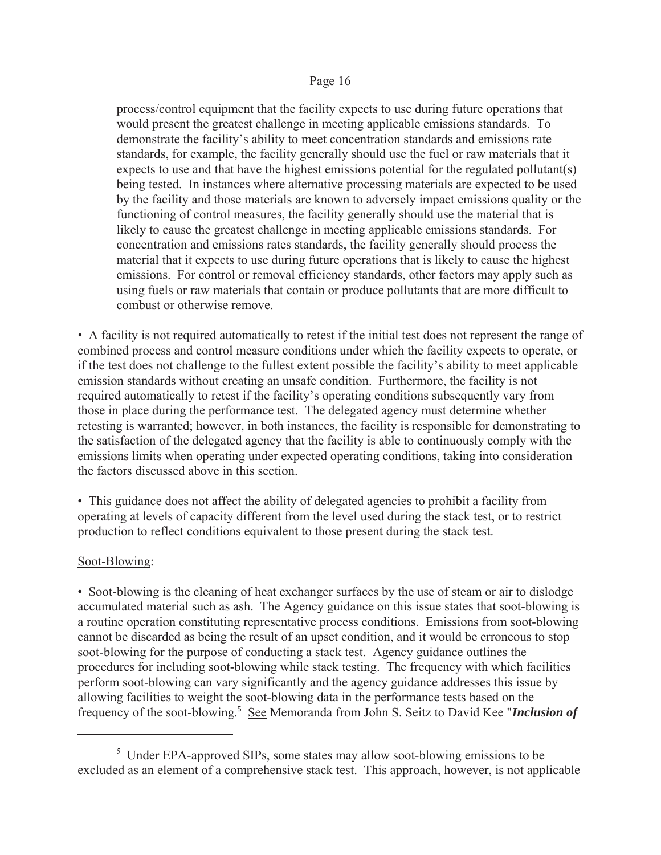process/control equipment that the facility expects to use during future operations that would present the greatest challenge in meeting applicable emissions standards. To demonstrate the facility's ability to meet concentration standards and emissions rate standards, for example, the facility generally should use the fuel or raw materials that it expects to use and that have the highest emissions potential for the regulated pollutant(s) being tested. In instances where alternative processing materials are expected to be used by the facility and those materials are known to adversely impact emissions quality or the functioning of control measures, the facility generally should use the material that is likely to cause the greatest challenge in meeting applicable emissions standards. For concentration and emissions rates standards, the facility generally should process the material that it expects to use during future operations that is likely to cause the highest emissions. For control or removal efficiency standards, other factors may apply such as using fuels or raw materials that contain or produce pollutants that are more difficult to combust or otherwise remove.

*•* A facility is not required automatically to retest if the initial test does not represent the range of combined process and control measure conditions under which the facility expects to operate, or if the test does not challenge to the fullest extent possible the facility's ability to meet applicable emission standards without creating an unsafe condition. Furthermore, the facility is not required automatically to retest if the facility's operating conditions subsequently vary from those in place during the performance test. The delegated agency must determine whether retesting is warranted; however, in both instances, the facility is responsible for demonstrating to the satisfaction of the delegated agency that the facility is able to continuously comply with the emissions limits when operating under expected operating conditions, taking into consideration the factors discussed above in this section.

• This guidance does not affect the ability of delegated agencies to prohibit a facility from operating at levels of capacity different from the level used during the stack test, or to restrict production to reflect conditions equivalent to those present during the stack test.

#### Soot-Blowing:

• Soot-blowing is the cleaning of heat exchanger surfaces by the use of steam or air to dislodge accumulated material such as ash. The Agency guidance on this issue states that soot-blowing is a routine operation constituting representative process conditions. Emissions from soot-blowing cannot be discarded as being the result of an upset condition, and it would be erroneous to stop soot-blowing for the purpose of conducting a stack test. Agency guidance outlines the procedures for including soot-blowing while stack testing. The frequency with which facilities perform soot-blowing can vary significantly and the agency guidance addresses this issue by allowing facilities to weight the soot-blowing data in the performance tests based on the frequency of the soot-blowing.**<sup>5</sup>** See Memoranda from John S. Seitz to David Kee "*Inclusion of* 

<sup>&</sup>lt;sup>5</sup> Under EPA-approved SIPs, some states may allow soot-blowing emissions to be excluded as an element of a comprehensive stack test. This approach, however, is not applicable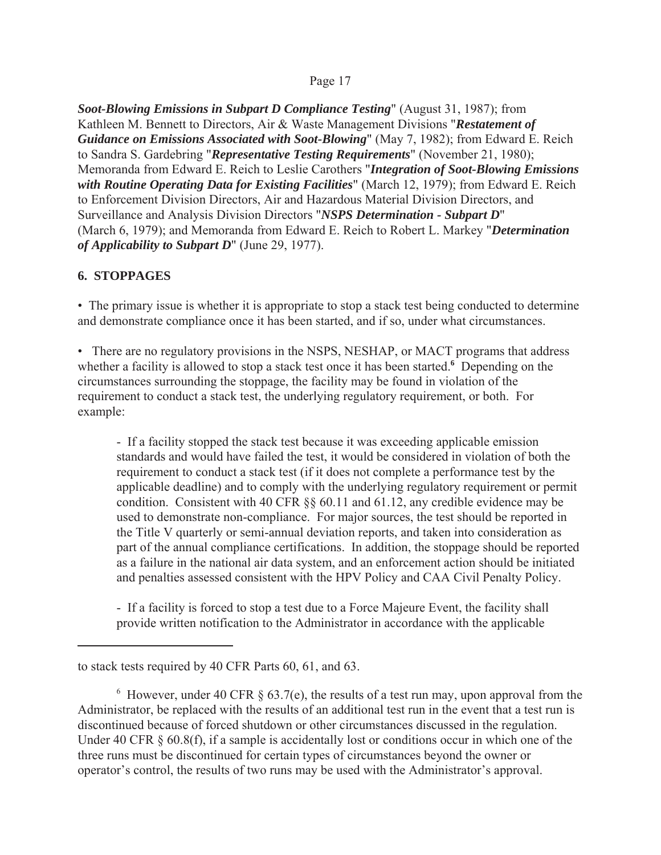*Soot-Blowing Emissions in Subpart D Compliance Testing*" (August 31, 1987); from Kathleen M. Bennett to Directors, Air & Waste Management Divisions "*Restatement of Guidance on Emissions Associated with Soot-Blowing*" (May 7, 1982); from Edward E. Reich to Sandra S. Gardebring "*Representative Testing Requirements*" (November 21, 1980); Memoranda from Edward E. Reich to Leslie Carothers "*Integration of Soot-Blowing Emissions with Routine Operating Data for Existing Facilities*" (March 12, 1979); from Edward E. Reich to Enforcement Division Directors, Air and Hazardous Material Division Directors, and Surveillance and Analysis Division Directors "*NSPS Determination - Subpart D*" (March 6, 1979); and Memoranda from Edward E. Reich to Robert L. Markey "*Determination of Applicability to Subpart D*" (June 29, 1977).

## **6. STOPPAGES**

• The primary issue is whether it is appropriate to stop a stack test being conducted to determine and demonstrate compliance once it has been started, and if so, under what circumstances.

• There are no regulatory provisions in the NSPS, NESHAP, or MACT programs that address whether a facility is allowed to stop a stack test once it has been started.**<sup>6</sup>** Depending on the circumstances surrounding the stoppage, the facility may be found in violation of the requirement to conduct a stack test, the underlying regulatory requirement, or both. For example:

- If a facility stopped the stack test because it was exceeding applicable emission standards and would have failed the test, it would be considered in violation of both the requirement to conduct a stack test (if it does not complete a performance test by the applicable deadline) and to comply with the underlying regulatory requirement or permit condition. Consistent with 40 CFR §§ 60.11 and 61.12, any credible evidence may be used to demonstrate non-compliance. For major sources, the test should be reported in the Title V quarterly or semi-annual deviation reports, and taken into consideration as part of the annual compliance certifications. In addition, the stoppage should be reported as a failure in the national air data system, and an enforcement action should be initiated and penalties assessed consistent with the HPV Policy and CAA Civil Penalty Policy.

- If a facility is forced to stop a test due to a Force Majeure Event, the facility shall provide written notification to the Administrator in accordance with the applicable

to stack tests required by 40 CFR Parts 60, 61, and 63.

 $6$  However, under 40 CFR  $\S$  63.7(e), the results of a test run may, upon approval from the Administrator, be replaced with the results of an additional test run in the event that a test run is discontinued because of forced shutdown or other circumstances discussed in the regulation. Under 40 CFR  $\S$  60.8(f), if a sample is accidentally lost or conditions occur in which one of the three runs must be discontinued for certain types of circumstances beyond the owner or operator's control, the results of two runs may be used with the Administrator's approval.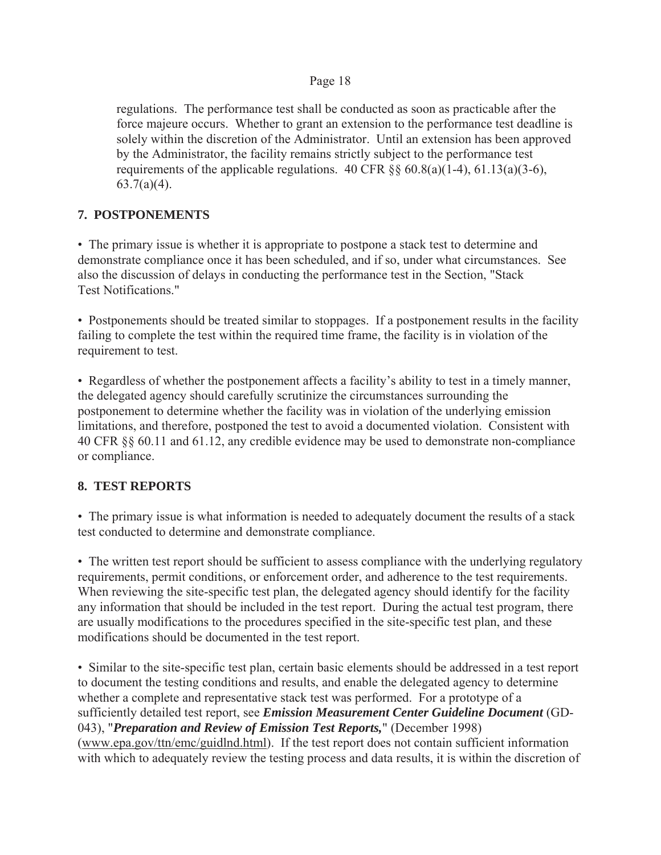regulations. The performance test shall be conducted as soon as practicable after the force majeure occurs. Whether to grant an extension to the performance test deadline is solely within the discretion of the Administrator. Until an extension has been approved by the Administrator, the facility remains strictly subject to the performance test requirements of the applicable regulations.  $40 \text{ CFR }$  §§  $60.8(a)(1-4)$ ,  $61.13(a)(3-6)$ ,  $63.7(a)(4)$ .

# **7. POSTPONEMENTS**

• The primary issue is whether it is appropriate to postpone a stack test to determine and demonstrate compliance once it has been scheduled, and if so, under what circumstances. See also the discussion of delays in conducting the performance test in the Section, "Stack Test Notifications."

• Postponements should be treated similar to stoppages. If a postponement results in the facility failing to complete the test within the required time frame, the facility is in violation of the requirement to test.

• Regardless of whether the postponement affects a facility's ability to test in a timely manner, the delegated agency should carefully scrutinize the circumstances surrounding the postponement to determine whether the facility was in violation of the underlying emission limitations, and therefore, postponed the test to avoid a documented violation. Consistent with 40 CFR §§ 60.11 and 61.12, any credible evidence may be used to demonstrate non-compliance or compliance.

# **8. TEST REPORTS**

• The primary issue is what information is needed to adequately document the results of a stack test conducted to determine and demonstrate compliance.

• The written test report should be sufficient to assess compliance with the underlying regulatory requirements, permit conditions, or enforcement order, and adherence to the test requirements. When reviewing the site-specific test plan, the delegated agency should identify for the facility any information that should be included in the test report. During the actual test program, there are usually modifications to the procedures specified in the site-specific test plan, and these modifications should be documented in the test report.

• Similar to the site-specific test plan, certain basic elements should be addressed in a test report to document the testing conditions and results, and enable the delegated agency to determine whether a complete and representative stack test was performed. For a prototype of a sufficiently detailed test report, see *Emission Measurement Center Guideline Document* (GD-043), "*Preparation and Review of Emission Test Reports,*" (December 1998) (www.epa.gov/ttn/emc/guidlnd.html). If the test report does not contain sufficient information with which to adequately review the testing process and data results, it is within the discretion of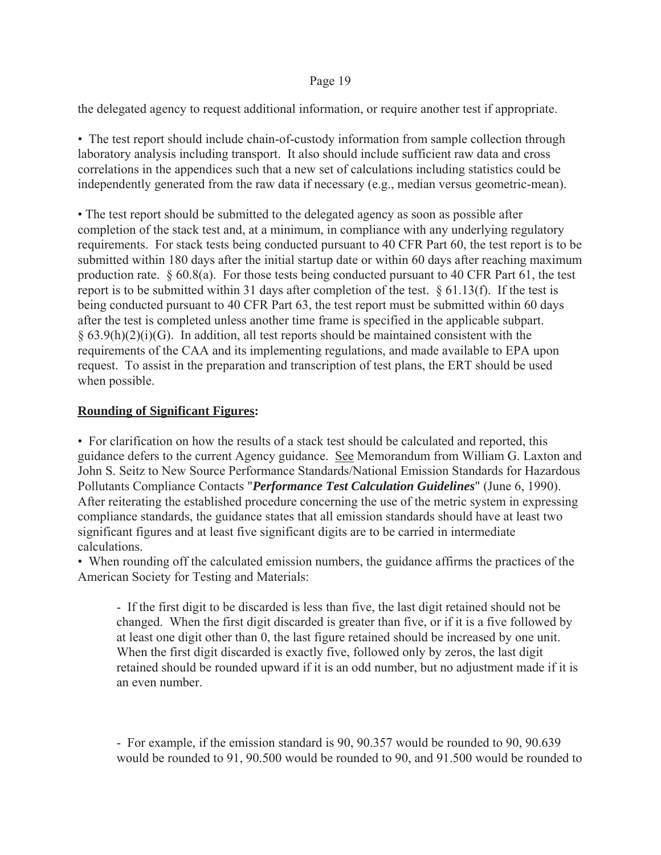the delegated agency to request additional information, or require another test if appropriate.

• The test report should include chain-of-custody information from sample collection through laboratory analysis including transport. It also should include sufficient raw data and cross correlations in the appendices such that a new set of calculations including statistics could be independently generated from the raw data if necessary (e.g., median versus geometric-mean).

• The test report should be submitted to the delegated agency as soon as possible after completion of the stack test and, at a minimum, in compliance with any underlying regulatory requirements. For stack tests being conducted pursuant to 40 CFR Part 60, the test report is to be submitted within 180 days after the initial startup date or within 60 days after reaching maximum production rate. § 60.8(a). For those tests being conducted pursuant to 40 CFR Part 61, the test report is to be submitted within 31 days after completion of the test. § 61.13(f). If the test is being conducted pursuant to 40 CFR Part 63, the test report must be submitted within 60 days after the test is completed unless another time frame is specified in the applicable subpart.  $§ 63.9(h)(2)(i)(G)$ . In addition, all test reports should be maintained consistent with the requirements of the CAA and its implementing regulations, and made available to EPA upon request. To assist in the preparation and transcription of test plans, the ERT should be used when possible.

## **Rounding of Significant Figures:**

• For clarification on how the results of a stack test should be calculated and reported, this guidance defers to the current Agency guidance. See Memorandum from William G. Laxton and John S. Seitz to New Source Performance Standards/National Emission Standards for Hazardous Pollutants Compliance Contacts "*Performance Test Calculation Guidelines*" (June 6, 1990). After reiterating the established procedure concerning the use of the metric system in expressing compliance standards, the guidance states that all emission standards should have at least two significant figures and at least five significant digits are to be carried in intermediate calculations.

• When rounding off the calculated emission numbers, the guidance affirms the practices of the American Society for Testing and Materials:

- If the first digit to be discarded is less than five, the last digit retained should not be changed. When the first digit discarded is greater than five, or if it is a five followed by at least one digit other than 0, the last figure retained should be increased by one unit. When the first digit discarded is exactly five, followed only by zeros, the last digit retained should be rounded upward if it is an odd number, but no adjustment made if it is an even number.

- For example, if the emission standard is 90, 90.357 would be rounded to 90, 90.639 would be rounded to 91, 90.500 would be rounded to 90, and 91.500 would be rounded to